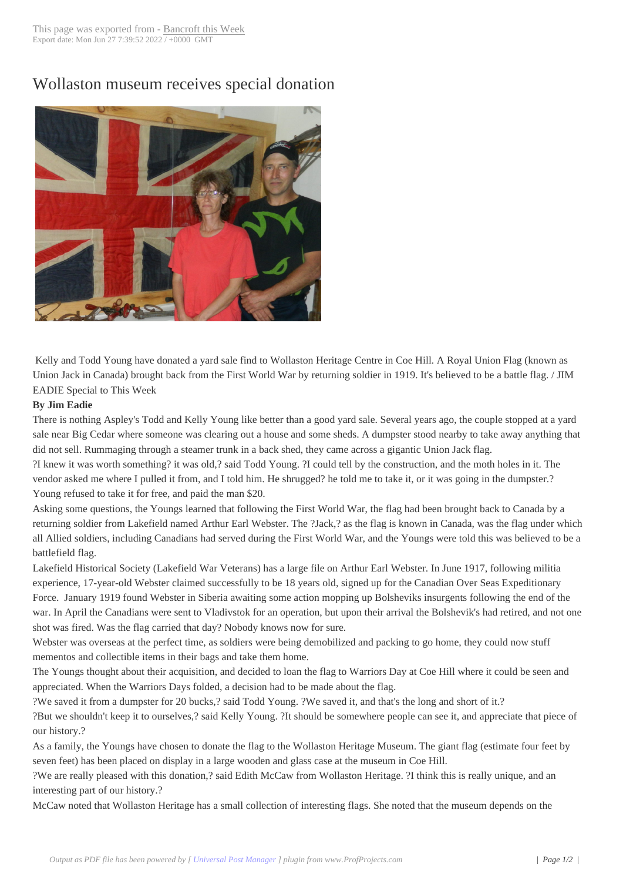## Wollaston museum [receives spe](http://www.bancroftthisweek.com/?p=8168)cial donation



Kelly and Todd Young have donated a yard sale find to Wollaston Heritage Centre in Coe Hill. A Royal Union Flag (known as Union Jack in Canada) brought back from the First World War by returning soldier in 1919. It's believed to be a battle flag. / JIM EADIE Special to This Week

## **By Jim Eadie**

There is nothing Aspley's Todd and Kelly Young like better than a good yard sale. Several years ago, the couple stopped at a yard sale near Big Cedar where someone was clearing out a house and some sheds. A dumpster stood nearby to take away anything that did not sell. Rummaging through a steamer trunk in a back shed, they came across a gigantic Union Jack flag. ?I knew it was worth something? it was old,? said Todd Young. ?I could tell by the construction, and the moth holes in it. The vendor asked me where I pulled it from, and I told him. He shrugged? he told me to take it, or it was going in the dumpster.? Young refused to take it for free, and paid the man \$20.

Asking some questions, the Youngs learned that following the First World War, the flag had been brought back to Canada by a returning soldier from Lakefield named Arthur Earl Webster. The ?Jack,? as the flag is known in Canada, was the flag under which all Allied soldiers, including Canadians had served during the First World War, and the Youngs were told this was believed to be a battlefield flag.

Lakefield Historical Society (Lakefield War Veterans) has a large file on Arthur Earl Webster. In June 1917, following militia experience, 17-year-old Webster claimed successfully to be 18 years old, signed up for the Canadian Over Seas Expeditionary Force. January 1919 found Webster in Siberia awaiting some action mopping up Bolsheviks insurgents following the end of the war. In April the Canadians were sent to Vladivstok for an operation, but upon their arrival the Bolshevik's had retired, and not one shot was fired. Was the flag carried that day? Nobody knows now for sure.

Webster was overseas at the perfect time, as soldiers were being demobilized and packing to go home, they could now stuff mementos and collectible items in their bags and take them home.

The Youngs thought about their acquisition, and decided to loan the flag to Warriors Day at Coe Hill where it could be seen and appreciated. When the Warriors Days folded, a decision had to be made about the flag.

?We saved it from a dumpster for 20 bucks,? said Todd Young. ?We saved it, and that's the long and short of it.?

?But we shouldn't keep it to ourselves,? said Kelly Young. ?It should be somewhere people can see it, and appreciate that piece of our history.?

As a family, the Youngs have chosen to donate the flag to the Wollaston Heritage Museum. The giant flag (estimate four feet by seven feet) has been placed on display in a large wooden and glass case at the museum in Coe Hill.

?We are really pleased with this donation,? said Edith McCaw from Wollaston Heritage. ?I think this is really unique, and an interesting part of our history.?

McCaw noted that Wollaston Heritage has a small collection of interesting flags. She noted that the museum depends on the